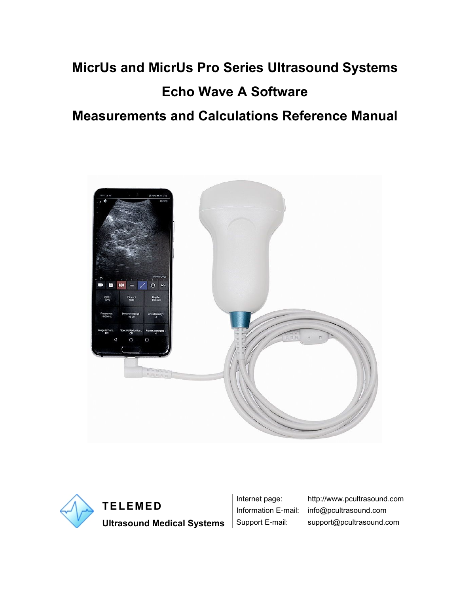# **MicrUs and MicrUs Pro Series Ultrasound Systems Echo Wave A Software**

## **Measurements and Calculations Reference Manual**





**Ultrasound Medical Systems** | Support E-mail: support@pcultrasound.com

Internet page: http://www.pcultrasound.com Information E-mail: info@pcultrasound.com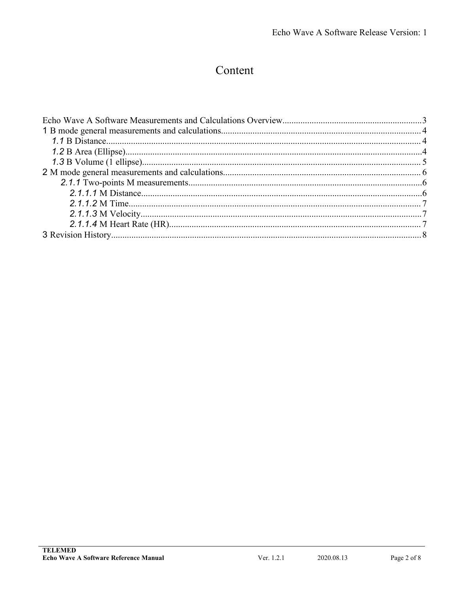## Content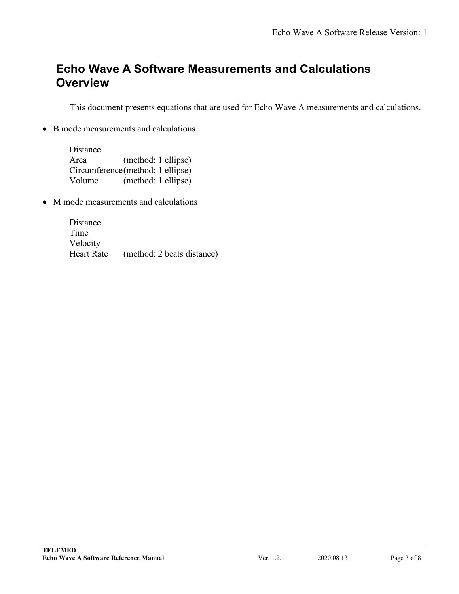## <span id="page-2-0"></span>**Echo Wave A Software Measurements and Calculations Overview**

This document presents equations that are used for Echo Wave A measurements and calculations.

• B mode measurements and calculations

| Distance |                                   |  |
|----------|-----------------------------------|--|
| Area     | (method: 1 ellipse)               |  |
|          | Circumference (method: 1 ellipse) |  |
| Volume   | (method: 1 ellipse)               |  |

• M mode measurements and calculations

Distance Time Velocity Heart Rate (method: 2 beats distance)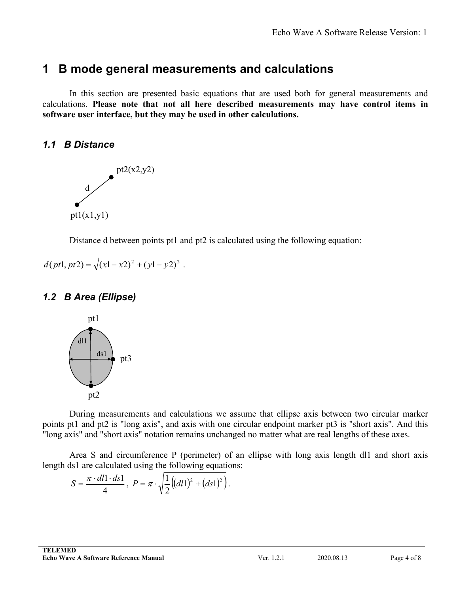## <span id="page-3-1"></span><span id="page-3-0"></span>**1 B mode general measurements and calculations**

In this section are presented basic equations that are used both for general measurements and calculations. **Please note that not all here described measurements may have control items in software user interface, but they may be used in other calculations.**

#### *1.1 B Distance*



Distance d between points pt1 and pt2 is calculated using the following equation:

$$
d(pt1, pt2) = \sqrt{(x1 - x2)^2 + (y1 - y2)^2}.
$$

## *1.2 B Area (Ellipse)*



During measurements and calculations we assume that ellipse axis between two circular marker points pt1 and pt2 is "long axis", and axis with one circular endpoint marker pt3 is "short axis". And this "long axis" and "short axis" notation remains unchanged no matter what are real lengths of these axes.

Area S and circumference P (perimeter) of an ellipse with long axis length dl1 and short axis length ds1 are calculated using the following equations:

$$
S = \frac{\pi \cdot dl \cdot ds1}{4}, \ P = \pi \cdot \sqrt{\frac{1}{2} \left( (dl1)^2 + (ds1)^2 \right)}.
$$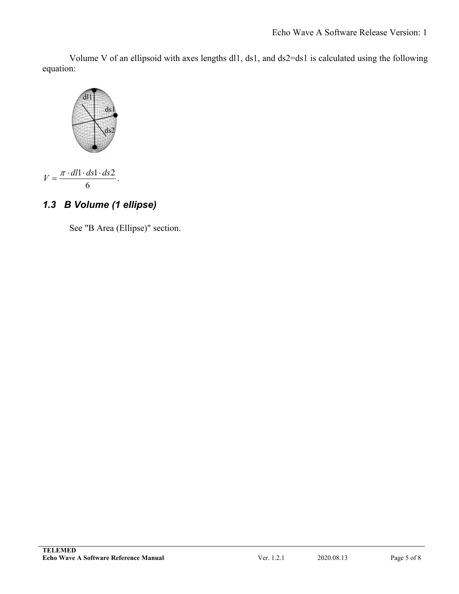<span id="page-4-0"></span>Volume V of an ellipsoid with axes lengths dl1, ds1, and ds2=ds1 is calculated using the following equation:



$$
V = \frac{\pi \cdot dl \cdot ds \cdot ds \cdot 2}{6}.
$$

## *1.3 B Volume (1 ellipse)*

See "B Area (Ellipse)" section.

.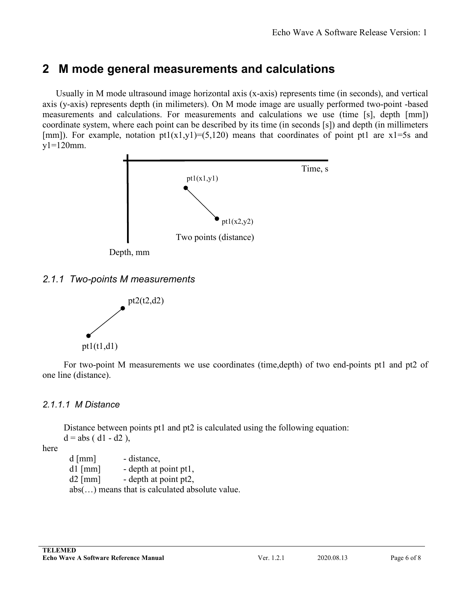## <span id="page-5-2"></span><span id="page-5-1"></span><span id="page-5-0"></span>**2 M mode general measurements and calculations**

Usually in M mode ultrasound image horizontal axis (x-axis) represents time (in seconds), and vertical axis (y-axis) represents depth (in milimeters). On M mode image are usually performed two-point-based measurements and calculations. For measurements and calculations we use (time [s], depth [mm]) coordinate system, where each point can be described by its time (in seconds [s]) and depth (in millimeters [mm]). For example, notation  $pt1(x1,y1)=(5,120)$  means that coordinates of point pt1 are x1=5s and y1=120mm.



#### *2.1.1 Two-points M measurements*



For two-point M measurements we use coordinates (time,depth) of two end-points pt1 and pt2 of one line (distance).

#### *2.1.1.1 M Distance*

Distance between points pt1 and pt2 is calculated using the following equation:  $d = abs (d1 - d2),$ 

here

d [mm] - distance,

- $dl$  [mm] depth at point pt1,
- $d2$  [mm] depth at point pt2,

abs(…) means that is calculated absolute value.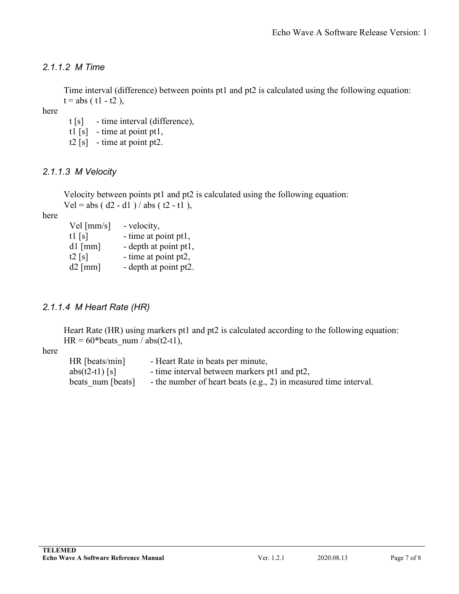### <span id="page-6-0"></span>*2.1.1.2 M Time*

Time interval (difference) between points pt1 and pt2 is calculated using the following equation:  $t = abs (t1 - t2),$ 

here

- t [s] time interval (difference),
- tl  $[s]$  time at point ptl,
- t2  $[s]$  time at point pt2.

#### *2.1.1.3 M Velocity*

Velocity between points pt1 and pt2 is calculated using the following equation:  $Vel = abs (d2 - d1)/abs (t2 - t1),$ 

here

| Vel $\text{[mm/s]}$ | - velocity,           |
|---------------------|-----------------------|
| tl $[s]$            | - time at point pt1,  |
| $dl$ [mm]           | - depth at point pt1, |
| t2 $[s]$            | - time at point pt2,  |
| $d2$ [mm]           | - depth at point pt2. |

#### *2.1.1.4 M Heart Rate (HR)*

Heart Rate (HR) using markers pt1 and pt2 is calculated according to the following equation:  $HR = 60*beats$  num / abs(t2-t1),

#### here

HR [beats/min] - Heart Rate in beats per minute, abs(t2-t1) [s]  $\blacksquare$  - time interval between markers pt1 and pt2, beats num [beats] - the number of heart beats (e.g., 2) in measured time interval.